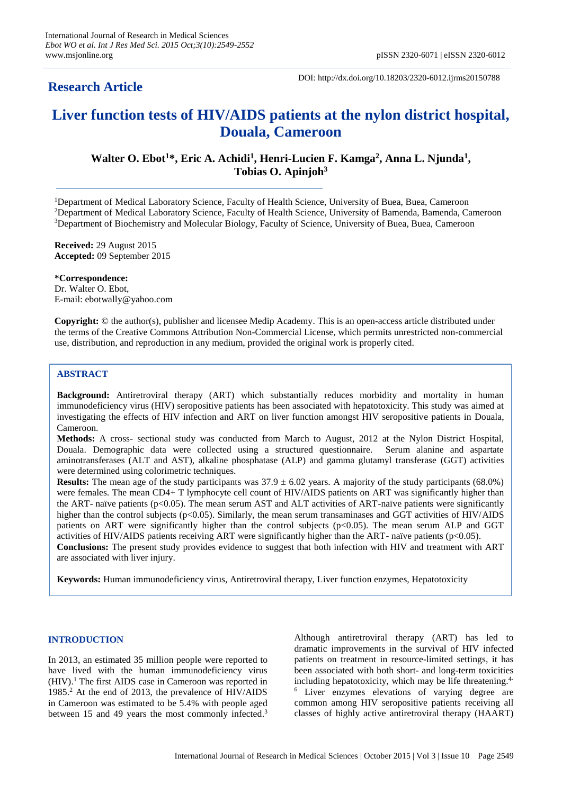# **Research Article**

DOI: http://dx.doi.org/10.18203/2320-6012.ijrms20150788

# **Liver function tests of HIV/AIDS patients at the nylon district hospital, Douala, Cameroon**

# Walter O. Ebot<sup>1\*</sup>, Eric A. Achidi<sup>1</sup>, Henri-Lucien F. Kamga<sup>2</sup>, Anna L. Njunda<sup>1</sup>, **Tobias O. Apinjoh<sup>3</sup>**

<sup>1</sup>Department of Medical Laboratory Science, Faculty of Health Science, University of Buea, Buea, Cameroon <sup>2</sup>Department of Medical Laboratory Science, Faculty of Health Science, University of Bamenda, Bamenda, Cameroon <sup>3</sup>Department of Biochemistry and Molecular Biology, Faculty of Science, University of Buea, Buea, Cameroon

**Received:** 29 August 2015 **Accepted:** 09 September 2015

**\*Correspondence:** Dr. Walter O. Ebot, E-mail: ebotwally@yahoo.com

**Copyright:** © the author(s), publisher and licensee Medip Academy. This is an open-access article distributed under the terms of the Creative Commons Attribution Non-Commercial License, which permits unrestricted non-commercial use, distribution, and reproduction in any medium, provided the original work is properly cited.

# **ABSTRACT**

**Background:** Antiretroviral therapy (ART) which substantially reduces morbidity and mortality in human immunodeficiency virus (HIV) seropositive patients has been associated with hepatotoxicity. This study was aimed at investigating the effects of HIV infection and ART on liver function amongst HIV seropositive patients in Douala, Cameroon.

**Methods:** A cross- sectional study was conducted from March to August, 2012 at the Nylon District Hospital, Douala. Demographic data were collected using a structured questionnaire. Serum alanine and aspartate aminotransferases (ALT and AST), alkaline phosphatase (ALP) and gamma glutamyl transferase (GGT) activities were determined using colorimetric techniques.

**Results:** The mean age of the study participants was  $37.9 \pm 6.02$  years. A majority of the study participants (68.0%) were females. The mean CD4+ T lymphocyte cell count of HIV/AIDS patients on ART was significantly higher than the ART- naïve patients ( $p<0.05$ ). The mean serum AST and ALT activities of ART-naïve patients were significantly higher than the control subjects (p<0.05). Similarly, the mean serum transaminases and GGT activities of HIV/AIDS patients on ART were significantly higher than the control subjects (p<0.05). The mean serum ALP and GGT activities of HIV/AIDS patients receiving ART were significantly higher than the ART- naïve patients (p<0.05). **Conclusions:** The present study provides evidence to suggest that both infection with HIV and treatment with ART are associated with liver injury.

**Keywords:** Human immunodeficiency virus, Antiretroviral therapy, Liver function enzymes, Hepatotoxicity

## **INTRODUCTION**

In 2013, an estimated 35 million people were reported to have lived with the human immunodeficiency virus (HIV). <sup>1</sup> The first AIDS case in Cameroon was reported in 1985. <sup>2</sup> At the end of 2013, the prevalence of HIV/AIDS in Cameroon was estimated to be 5.4% with people aged between 15 and 49 years the most commonly infected.<sup>3</sup>

Although antiretroviral therapy (ART) has led to dramatic improvements in the survival of HIV infected patients on treatment in resource-limited settings, it has been associated with both short- and long-term toxicities including hepatotoxicity, which may be life threatening.<sup>4</sup> <sup>6</sup> Liver enzymes elevations of varying degree are common among HIV seropositive patients receiving all classes of highly active antiretroviral therapy (HAART)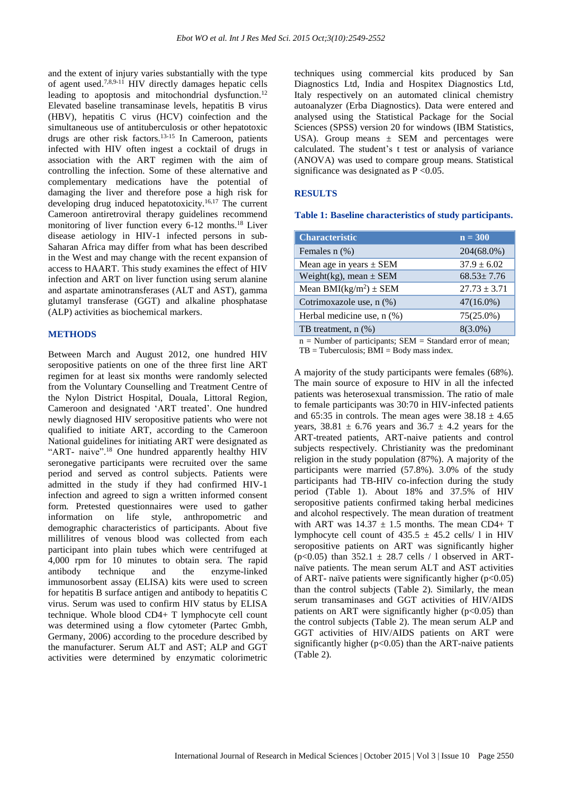and the extent of injury varies substantially with the type of agent used. 7,8,9-11 HIV directly damages hepatic cells leading to apoptosis and mitochondrial dysfunction.<sup>12</sup> Elevated baseline transaminase levels, hepatitis B virus (HBV), hepatitis C virus (HCV) coinfection and the simultaneous use of antituberculosis or other hepatotoxic drugs are other risk factors. 13-15 In Cameroon, patients infected with HIV often ingest a cocktail of drugs in association with the ART regimen with the aim of controlling the infection. Some of these alternative and complementary medications have the potential of damaging the liver and therefore pose a high risk for developing drug induced hepatotoxicity. 16,17 The current Cameroon antiretroviral therapy guidelines recommend monitoring of liver function every 6-12 months.<sup>18</sup> Liver disease aetiology in HIV-1 infected persons in sub-Saharan Africa may differ from what has been described in the West and may change with the recent expansion of access to HAART. This study examines the effect of HIV infection and ART on liver function using serum alanine and aspartate aminotransferases (ALT and AST), gamma glutamyl transferase (GGT) and alkaline phosphatase (ALP) activities as biochemical markers.

# **METHODS**

Between March and August 2012, one hundred HIV seropositive patients on one of the three first line ART regimen for at least six months were randomly selected from the Voluntary Counselling and Treatment Centre of the Nylon District Hospital, Douala, Littoral Region, Cameroon and designated 'ART treated'. One hundred newly diagnosed HIV seropositive patients who were not qualified to initiate ART, according to the Cameroon National guidelines for initiating ART were designated as "ART- naive".<sup>18</sup> One hundred apparently healthy HIV seronegative participants were recruited over the same period and served as control subjects. Patients were admitted in the study if they had confirmed HIV-1 infection and agreed to sign a written informed consent form. Pretested questionnaires were used to gather information on life style, anthropometric and demographic characteristics of participants. About five millilitres of venous blood was collected from each participant into plain tubes which were centrifuged at 4,000 rpm for 10 minutes to obtain sera. The rapid antibody technique and the enzyme-linked immunosorbent assay (ELISA) kits were used to screen for hepatitis B surface antigen and antibody to hepatitis C virus. Serum was used to confirm HIV status by ELISA technique. Whole blood CD4+ T lymphocyte cell count was determined using a flow cytometer (Partec Gmbh, Germany, 2006) according to the procedure described by the manufacturer. Serum ALT and AST; ALP and GGT activities were determined by enzymatic colorimetric techniques using commercial kits produced by San Diagnostics Ltd, India and Hospitex Diagnostics Ltd, Italy respectively on an automated clinical chemistry autoanalyzer (Erba Diagnostics). Data were entered and analysed using the Statistical Package for the Social Sciences (SPSS) version 20 for windows (IBM Statistics, USA). Group means  $\pm$  SEM and percentages were calculated. The student's t test or analysis of variance (ANOVA) was used to compare group means. Statistical significance was designated as  $P < 0.05$ .

#### **RESULTS**

**Table 1: Baseline characteristics of study participants.**

| <b>Characteristic</b>                                                                                                                                                                                                                                                                                                                                | $n = 300$         |
|------------------------------------------------------------------------------------------------------------------------------------------------------------------------------------------------------------------------------------------------------------------------------------------------------------------------------------------------------|-------------------|
| Females $n$ $(\%)$                                                                                                                                                                                                                                                                                                                                   | 204(68.0%)        |
| Mean age in years $\pm$ SEM                                                                                                                                                                                                                                                                                                                          | $37.9 \pm 6.02$   |
| Weight(kg), mean $\pm$ SEM                                                                                                                                                                                                                                                                                                                           | $68.53 \pm 7.76$  |
| Mean BMI( $kg/m2$ ) ± SEM                                                                                                                                                                                                                                                                                                                            | $27.73 \pm 3.71$  |
| Cotrimoxazole use, n (%)                                                                                                                                                                                                                                                                                                                             | $47(16.0\%)$      |
| Herbal medicine use, $n$ (%)                                                                                                                                                                                                                                                                                                                         | 75(25.0%)         |
| TB treatment, $n$ $(\%)$                                                                                                                                                                                                                                                                                                                             | $8(3.0\%)$        |
| $\mathbf{r}$ and $\mathbf{r}$ and $\mathbf{r}$ and $\mathbf{r}$ and $\mathbf{r}$ and $\mathbf{r}$ and $\mathbf{r}$ and $\mathbf{r}$ and $\mathbf{r}$ and $\mathbf{r}$ and $\mathbf{r}$ and $\mathbf{r}$ and $\mathbf{r}$ and $\mathbf{r}$ and $\mathbf{r}$ and $\mathbf{r}$ and $\mathbf{r}$ and<br>the contract of the con-<br>$\sim$ $\sim$ $\sim$ | $\alpha$ $\alpha$ |

 $n =$  Number of participants; SEM = Standard error of mean;  $TB = Tuberculosis; BMI = Body mass index.$ 

A majority of the study participants were females (68%). The main source of exposure to HIV in all the infected patients was heterosexual transmission. The ratio of male to female participants was 30:70 in HIV-infected patients and 65:35 in controls. The mean ages were  $38.18 \pm 4.65$ years,  $38.81 \pm 6.76$  years and  $36.7 \pm 4.2$  years for the ART-treated patients, ART-naive patients and control subjects respectively. Christianity was the predominant religion in the study population (87%). A majority of the participants were married (57.8%). 3.0% of the study participants had TB-HIV co-infection during the study period (Table 1). About 18% and 37.5% of HIV seropositive patients confirmed taking herbal medicines and alcohol respectively. The mean duration of treatment with ART was  $14.37 \pm 1.5$  months. The mean CD4+ T lymphocyte cell count of  $435.5 \pm 45.2$  cells/ 1 in HIV seropositive patients on ART was significantly higher (p<0.05) than  $352.1 \pm 28.7$  cells / 1 observed in ARTnaïve patients. The mean serum ALT and AST activities of ART- naïve patients were significantly higher  $(p<0.05)$ than the control subjects (Table 2). Similarly, the mean serum transaminases and GGT activities of HIV/AIDS patients on ART were significantly higher  $(p<0.05)$  than the control subjects (Table 2). The mean serum ALP and GGT activities of HIV/AIDS patients on ART were significantly higher ( $p<0.05$ ) than the ART-naive patients (Table 2).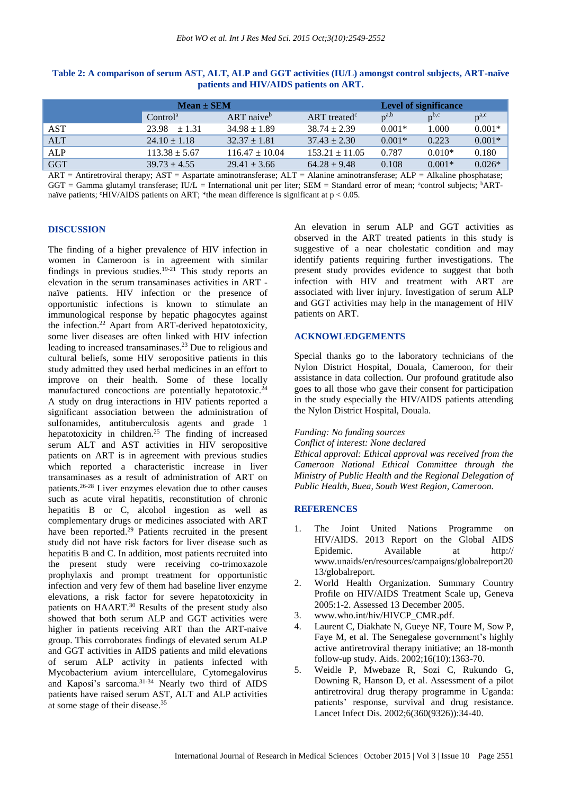|            | $Mean \pm SEM$       |                          |                            | <b>Level of significance</b> |           |           |
|------------|----------------------|--------------------------|----------------------------|------------------------------|-----------|-----------|
|            | Control <sup>a</sup> | $ART$ naive <sup>b</sup> | $ART$ treated <sup>c</sup> | $p^{a,b}$                    | $p^{b,c}$ | $p^{a,c}$ |
| <b>AST</b> | $23.98 + 1.31$       | $34.98 \pm 1.89$         | $38.74 \pm 2.39$           | $0.001*$                     | 1.000     | $0.001*$  |
| <b>ALT</b> | $24.10 \pm 1.18$     | $32.37 \pm 1.81$         | $37.43 \pm 2.30$           | $0.001*$                     | 0.223     | $0.001*$  |
| <b>ALP</b> | $113.38 \pm 5.67$    | $116.47 \pm 10.04$       | $153.21 \pm 11.05$         | 0.787                        | $0.010*$  | 0.180     |
| <b>GGT</b> | $39.73 \pm 4.55$     | $29.41 \pm 3.66$         | $64.28 \pm 9.48$           | 0.108                        | $0.001*$  | $0.026*$  |

# **Table 2: A comparison of serum AST, ALT, ALP and GGT activities (IU/L) amongst control subjects, ART-naïve patients and HIV/AIDS patients on ART.**

 $ART = Antiretroviral therapy; AST = Aspartate aminotransferase; ALT = Alanine aminotransferase; ALP = Alkaline phosphatase;$ GGT = Gamma glutamyl transferase; IU/L = International unit per liter; SEM = Standard error of mean; <sup>a</sup>control subjects; <sup>b</sup>ARTnaïve patients;  $\text{cHIV/ALDS}$  patients on ART; \*the mean difference is significant at  $p < 0.05$ .

#### **DISCUSSION**

The finding of a higher prevalence of HIV infection in women in Cameroon is in agreement with similar findings in previous studies.<sup>19-21</sup> This study reports an elevation in the serum transaminases activities in ART naïve patients. HIV infection or the presence of opportunistic infections is known to stimulate an immunological response by hepatic phagocytes against the infection. <sup>22</sup> Apart from ART-derived hepatotoxicity, some liver diseases are often linked with HIV infection leading to increased transaminases. <sup>23</sup> Due to religious and cultural beliefs, some HIV seropositive patients in this study admitted they used herbal medicines in an effort to improve on their health. Some of these locally manufactured concoctions are potentially hepatotoxic.<sup>24</sup> A study on drug interactions in HIV patients reported a significant association between the administration of sulfonamides, antituberculosis agents and grade 1 hepatotoxicity in children.<sup>25</sup> The finding of increased serum ALT and AST activities in HIV seropositive patients on ART is in agreement with previous studies which reported a characteristic increase in liver transaminases as a result of administration of ART on patients. 26-28 Liver enzymes elevation due to other causes such as acute viral hepatitis, reconstitution of chronic hepatitis B or C, alcohol ingestion as well as complementary drugs or medicines associated with ART have been reported.<sup>29</sup> Patients recruited in the present study did not have risk factors for liver disease such as hepatitis B and C. In addition, most patients recruited into the present study were receiving co-trimoxazole prophylaxis and prompt treatment for opportunistic infection and very few of them had baseline liver enzyme elevations, a risk factor for severe hepatotoxicity in patients on HAART.<sup>30</sup> Results of the present study also showed that both serum ALP and GGT activities were higher in patients receiving ART than the ART-naive group. This corroborates findings of elevated serum ALP and GGT activities in AIDS patients and mild elevations of serum ALP activity in patients infected with Mycobacterium avium intercellulare, Cytomegalovirus and Kaposi's sarcoma. 31-34 Nearly two third of AIDS patients have raised serum AST, ALT and ALP activities at some stage of their disease. 35

An elevation in serum ALP and GGT activities as observed in the ART treated patients in this study is suggestive of a near cholestatic condition and may identify patients requiring further investigations. The present study provides evidence to suggest that both infection with HIV and treatment with ART are associated with liver injury. Investigation of serum ALP and GGT activities may help in the management of HIV patients on ART.

## **ACKNOWLEDGEMENTS**

Special thanks go to the laboratory technicians of the Nylon District Hospital, Douala, Cameroon, for their assistance in data collection. Our profound gratitude also goes to all those who gave their consent for participation in the study especially the HIV/AIDS patients attending the Nylon District Hospital, Douala.

# *Funding: No funding sources*

*Conflict of interest: None declared*

*Ethical approval: Ethical approval was received from the Cameroon National Ethical Committee through the Ministry of Public Health and the Regional Delegation of Public Health, Buea, South West Region, Cameroon.*

#### **REFERENCES**

- 1. The Joint United Nations Programme on HIV/AIDS. 2013 Report on the Global AIDS Epidemic. Available at http:// www.unaids/en/resources/campaigns/globalreport20 13/globalreport.
- 2. World Health Organization. Summary Country Profile on HIV/AIDS Treatment Scale up, Geneva 2005:1-2. Assessed 13 December 2005.
- 3. www.who.int/hiv/HIVCP\_CMR.pdf.
- 4. Laurent C, Diakhate N, Gueye NF, Toure M, Sow P, Faye M, et al. The Senegalese government's highly active antiretroviral therapy initiative; an 18-month follow-up study. Aids. 2002;16(10):1363-70.
- 5. Weidle P, Mwebaze R, Sozi C, Rukundo G, Downing R, Hanson D, et al. Assessment of a pilot antiretroviral drug therapy programme in Uganda: patients' response, survival and drug resistance. Lancet Infect Dis. 2002;6(360(9326)):34-40.